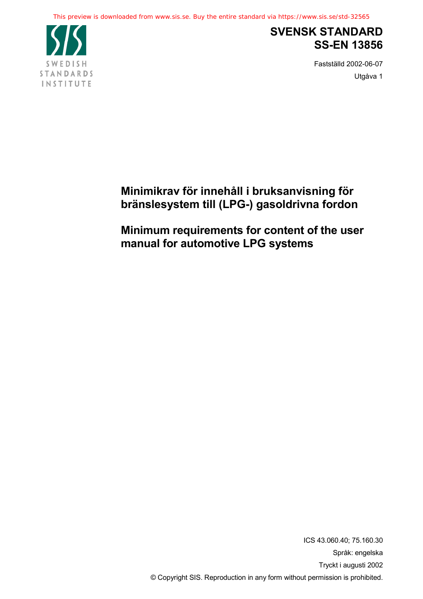This preview is downloaded from www.sis.se. Buy the entire standard via https://www.sis.se/std-32565



# **SVENSK STANDARD SS-EN 13856**

Fastställd 2002-06-07 Utgåva 1

# **Minimikrav för innehåll i bruksanvisning för bränslesystem till (LPG-) gasoldrivna fordon**

**Minimum requirements for content of the user manual for automotive LPG systems**

> ICS 43.060.40; 75.160.30 Språk: engelska Tryckt i augusti 2002 © Copyright SIS. Reproduction in any form without permission is prohibited.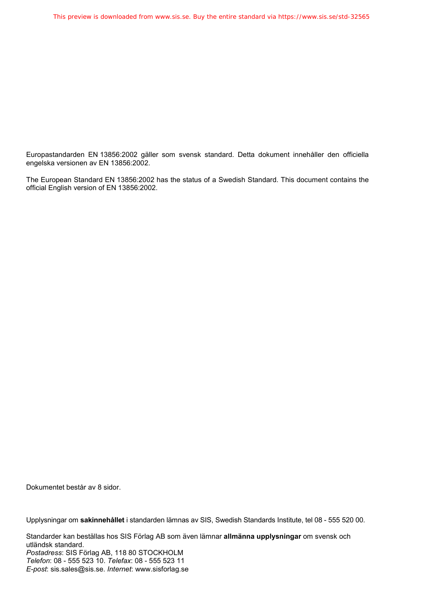Europastandarden EN 13856:2002 gäller som svensk standard. Detta dokument innehåller den officiella engelska versionen av EN 13856:2002.

The European Standard EN 13856:2002 has the status of a Swedish Standard. This document contains the official English version of EN 13856:2002.

Dokumentet består av 8 sidor.

Upplysningar om **sakinnehållet** i standarden lämnas av SIS, Swedish Standards Institute, tel 08 - 555 520 00.

Standarder kan beställas hos SIS Förlag AB som även lämnar **allmänna upplysningar** om svensk och utländsk standard. *Postadress*: SIS Förlag AB, 118 80 STOCKHOLM *Telefon*: 08 - 555 523 10. *Telefax*: 08 - 555 523 11 *E-post*: sis.sales@sis.se. *Internet*: www.sisforlag.se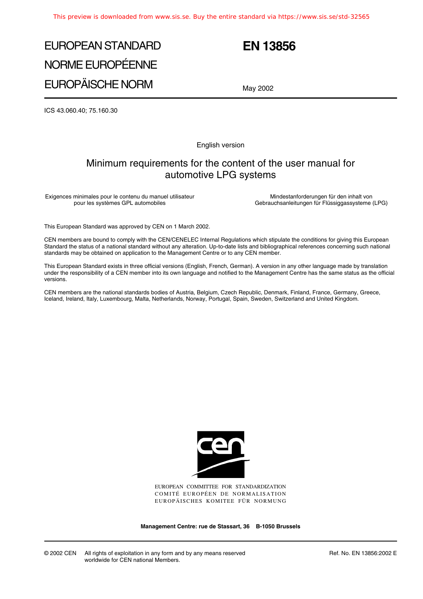# EUROPEAN STANDARD NORME EUROPÉENNE EUROPÄISCHE NORM

## **EN 13856**

May 2002

ICS 43.060.40; 75.160.30

English version

### Minimum requirements for the content of the user manual for automotive LPG systems

Exigences minimales pour le contenu du manuel utilisateur pour les systèmes GPL automobiles

Mindestanforderungen für den inhalt von Gebrauchsanleitungen für Flüssiggassysteme (LPG)

This European Standard was approved by CEN on 1 March 2002.

CEN members are bound to comply with the CEN/CENELEC Internal Regulations which stipulate the conditions for giving this European Standard the status of a national standard without any alteration. Up-to-date lists and bibliographical references concerning such national standards may be obtained on application to the Management Centre or to any CEN member.

This European Standard exists in three official versions (English, French, German). A version in any other language made by translation under the responsibility of a CEN member into its own language and notified to the Management Centre has the same status as the official versions.

CEN members are the national standards bodies of Austria, Belgium, Czech Republic, Denmark, Finland, France, Germany, Greece, Iceland, Ireland, Italy, Luxembourg, Malta, Netherlands, Norway, Portugal, Spain, Sweden, Switzerland and United Kingdom.



EUROPEAN COMMITTEE FOR STANDARDIZATION COMITÉ EUROPÉEN DE NORMALISATION EUROPÄISCHES KOMITEE FÜR NORMUNG

**Management Centre: rue de Stassart, 36 B-1050 Brussels**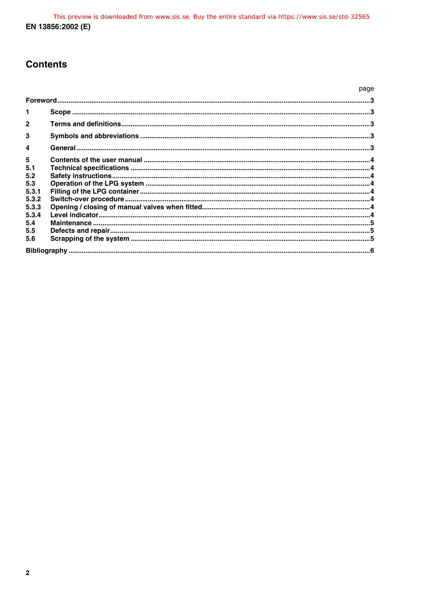### **Contents**

|              | page |  |
|--------------|------|--|
|              |      |  |
| 1            |      |  |
| $\mathbf{2}$ |      |  |
| 3            |      |  |
| 4            |      |  |
| 5            |      |  |
| 5.1          |      |  |
| 5.2          |      |  |
| 5.3          |      |  |
| 5.3.1        |      |  |
| 5.3.2        |      |  |
| 5.3.3        |      |  |
| 5.3.4        |      |  |
| 5.4          |      |  |
| 5.5          |      |  |
| 5.6          |      |  |
|              |      |  |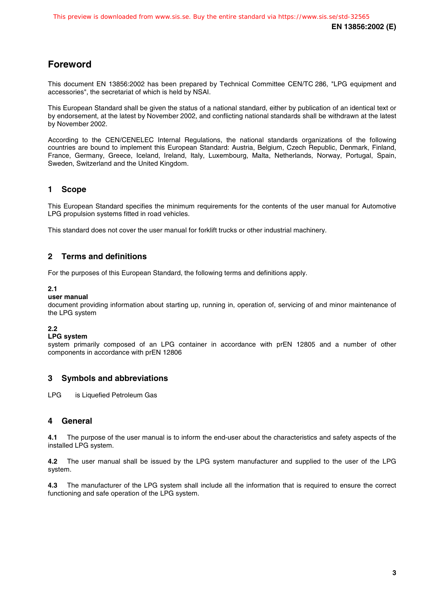### **Foreword**

This document EN 13856:2002 has been prepared by Technical Committee CEN/TC 286, "LPG equipment and accessories", the secretariat of which is held by NSAI.

This European Standard shall be given the status of a national standard, either by publication of an identical text or by endorsement, at the latest by November 2002, and conflicting national standards shall be withdrawn at the latest by November 2002.

According to the CEN/CENELEC Internal Regulations, the national standards organizations of the following countries are bound to implement this European Standard: Austria, Belgium, Czech Republic, Denmark, Finland, France, Germany, Greece, Iceland, Ireland, Italy, Luxembourg, Malta, Netherlands, Norway, Portugal, Spain, Sweden, Switzerland and the United Kingdom.

#### **1 Scope**

This European Standard specifies the minimum requirements for the contents of the user manual for Automotive LPG propulsion systems fitted in road vehicles.

This standard does not cover the user manual for forklift trucks or other industrial machinery.

#### **2 Terms and definitions**

For the purposes of this European Standard, the following terms and definitions apply.

#### **2.1**

#### **user manual**

document providing information about starting up, running in, operation of, servicing of and minor maintenance of the LPG system

#### **2.2**

#### **LPG system**

system primarily composed of an LPG container in accordance with prEN 12805 and a number of other components in accordance with prEN 12806

#### **3 Symbols and abbreviations**

LPG is Liquefied Petroleum Gas

#### **4 General**

**4.1** The purpose of the user manual is to inform the end-user about the characteristics and safety aspects of the installed LPG system.

**4.2** The user manual shall be issued by the LPG system manufacturer and supplied to the user of the LPG system.

**4.3** The manufacturer of the LPG system shall include all the information that is required to ensure the correct functioning and safe operation of the LPG system.